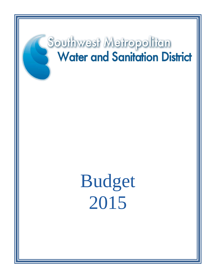# Southwest Metropolitan **Water and Sanitation District**

Budget 2015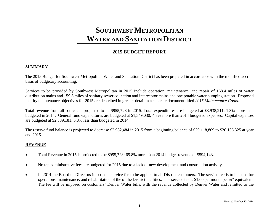## **2015 BUDGET REPORT**

#### **SUMMARY**

The 2015 Budget for Southwest Metropolitan Water and Sanitation District has been prepared in accordance with the modified accrual basis of budgetary accounting.

Services to be provided by Southwest Metropolitan in 2015 include operation, maintenance, and repair of 168.4 miles of water distribution mains and 159.8 miles of sanitary sewer collection and interceptor mains and one potable water pumping station. Proposed facility maintenance objectives for 2015 are described in greater detail in a separate document titled *2015 Maintenance Goals*.

Total revenue from all sources is projected to be \$955,728 in 2015. Total expenditures are budgeted at \$3,938,211; 1.3% more than budgeted in 2014. General fund expenditures are budgeted at \$1,549,030; 4.8% more than 2014 budgeted expenses. Capital expenses are budgeted at \$2,389,181; 0.8% less than budgeted in 2014.

The reserve fund balance is projected to decrease \$2,982,484 in 2015 from a beginning balance of \$29,118,809 to \$26,136,325 at year end 2015.

#### **REVENUE**

- Total Revenue in 2015 is projected to be \$955,728; 65.8% more than 2014 budget revenue of \$594,143.
- No tap administrative fees are budgeted for 2015 due to a lack of new development and construction activity.
- In 2014 the Board of Directors imposed a service fee to be applied to all District customers. The service fee is to be used for operations, maintenance, and rehabilitation of the of the District facilities. The service fee is \$1.00 per month per ¾" equivalent. The fee will be imposed on customers' Denver Water bills, with the revenue collected by Denver Water and remitted to the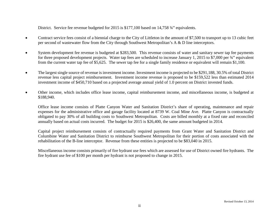District. Service fee revenue budgeted for 2015 is \$177,100 based on 14,758  $\frac{3}{4}$ " equivalents.

- Contract service fees consist of a biennial charge to the City of Littleton in the amount of \$7,500 to transport up to 13 cubic feet per second of wastewater flow from the City through Southwest Metropolitan's A & D line interceptors.
- System development fee revenue is budgeted at \$283,500. This revenue consists of water and sanitary sewer tap fee payments for three proposed development projects. Water tap fees are scheduled to increase January 1, 2015 to \$7,000 per ¾" equivalent from the current water tap fee of \$5,625. The sewer tap fee for a single family residence or equivalent will remain \$1,100.
- The largest single source of revenue is investment income. Investment income is projected to be \$291,188, 30.5% of total District revenue less capital project reimbursement. Investment income revenue is proposed to be \$159,522 less than estimated 2014 investment income of \$450,710 based on a projected average annual yield of 1.0 percent on District invested funds.
- Other income, which includes office lease income, capital reimbursement income, and miscellaneous income, is budgeted at \$188,940.

Office lease income consists of Platte Canyon Water and Sanitation District's share of operating, maintenance and repair expenses for the administrative office and garage facility located at 8739 W. Coal Mine Ave. Platte Canyon is contractually obligated to pay 30% of all building costs to Southwest Metropolitan. Costs are billed monthly at a fixed rate and reconciled annually based on actual costs incurred. The budget for 2015 is \$26,400, the same amount budgeted in 2014.

Capital project reimbursement consists of contractually required payments from Grant Water and Sanitation District and Columbine Water and Sanitation District to reimburse Southwest Metropolitan for their portion of costs associated with the rehabilitation of the B-line interceptor. Revenue from these entities is projected to be \$83,040 in 2015.

Miscellaneous income consists primarily of fire hydrant use fees which are assessed for use of District owned fire hydrants. The fire hydrant use fee of \$100 per month per hydrant is not proposed to change in 2015.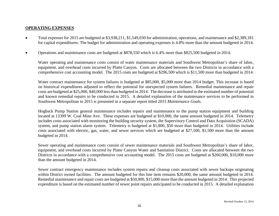#### **OPERATING EXPENSES**

- Total expenses for 2015 are budgeted at \$3,938,211, \$1,549,030 for administration, operations, and maintenance and \$2,389,181 for capital expenditures. The budget for administration and operating expenses is 4.8% more than the amount budgeted in 2014.
- Operations and maintenance costs are budgeted at \$878,550 which is 6.4% more than \$825,500 budgeted in 2014.

Water operating and maintenance costs consist of water maintenance materials and Southwest Metropolitan's share of labor, equipment, and overhead costs incurred by Platte Canyon. Costs are allocated between the two Districts in accordance with a comprehensive cost accounting model. The 2015 costs are budgeted at \$296,500 which is \$11,500 more than budgeted in 2014.

Water contract maintenance for system failures is budgeted at \$85,000, \$5,000 more than 2014 budget. This increase is based on historical expenditures adjusted to reflect the potential for unexpected system failures. Remedial maintenance and repair costs are budgeted at \$25,000, \$40,000 lessthan budgeted in 2014. The decrease is attributed to the estimated number of potential and known remedial repairs to be conducted in 2015. A detailed explanation of the maintenance services to be performed in Southwest Metropolitan in 2015 is presented in a separate report titled *2015 Maintenance Goals*.

Hogback Pump Station general maintenance includes repairs and maintenance to the pump station equipment and building located at 13399 W. Coal Mine Ave. These expenses are budgeted at \$10,000, the same amount budgeted in 2014. Telemetry includes costs associated with monitoring the building security system, the Supervisory Control and Data Acquisition (SCADA) system, and pump station alarm system. Telemetry is budgeted at \$1,800, \$50 more than budgeted in 2014. Utilities include costs associated with electric, gas, water, and sewer services which are budgeted at \$27,500, \$1,500 more than the amount budgeted in 2014.

Sewer operating and maintenance costs consist of sewer maintenance materials and Southwest Metropolitan's share of labor, equipment, and overhead costs incurred by Platte Canyon Water and Sanitation District. Costs are allocated between the two Districts in accordance with a comprehensive cost accounting model. The 2015 costs are budgeted at \$260,000, \$10,000 more than the amount budgeted in 2014.

Sewer contract emergency maintenance includes system repairs and cleanup costs associated with sewer backups originating within District owned facilities. The amount budgeted for this line item remains \$20,000, the same amount budgeted in 2014. Remedial maintenance and repair costs are budgeted at \$50,000, \$15,000 more than the amount budgeted in 2014. This projected expenditure is based on the estimated number of sewer point repairs anticipated to be conducted in 2015. A detailed explanation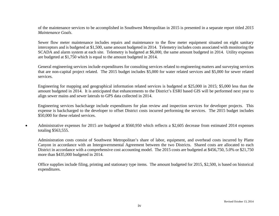of the maintenance services to be accomplished in Southwest Metropolitan in 2015 is presented in a separate report titled *2015 Maintenance Goals*.

Sewer flow meter maintenance includes repairs and maintenance to the flow meter equipment situated on eight sanitary interceptors and is budgeted at \$1,500, same amount budgeted in 2014. Telemetry includes costs associated with monitoring the SCADA and alarm system at each site. Telemetry is budgeted at \$6,000, the same amount budgeted in 2014. Utility expenses are budgeted at \$1,750 which is equal to the amount budgeted in 2014.

General engineering services include expenditures for consulting services related to engineering matters and surveying services that are non-capital project related. The 2015 budget includes \$5,000 for water related services and \$5,000 for sewer related services.

Engineering for mapping and geographical information related services is budgeted at \$25,000 in 2015; \$5,000 less than the amount budgeted in 2014. It is anticipated that enhancements to the District's ESRI based GIS will be performed next year to align sewer mains and sewer laterals to GPS data collected in 2014.

Engineering services backcharge include expenditures for plan review and inspection services for developer projects. This expense is backcharged to the developer to offset District costs incurred performing the services. The 2015 budget includes \$50,000 for these related services.

• Administrative expenses for 2015 are budgeted at \$560,950 which reflects a \$2,605 decrease from estimated 2014 expenses totaling \$563,555.

Administration costs consist of Southwest Metropolitan's share of labor, equipment, and overhead costs incurred by Platte Canyon in accordance with an Intergovernmental Agreement between the two Districts. Shared costs are allocated to each District in accordance with a comprehensive cost accounting model. The 2015 costs are budgeted at \$456,750, 5.0% or \$21,750 more than \$435,000 budgeted in 2014.

Office supplies include filing, printing and stationary type items. The amount budgeted for 2015, \$2,500, is based on historical expenditures.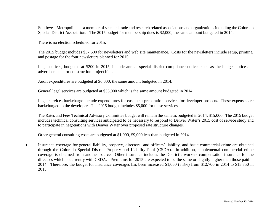Southwest Metropolitan is a member of selected trade and research related associations and organizations including the Colorado Special District Association. The 2015 budget for membership dues is \$2,000, the same amount budgeted in 2014.

There is no election scheduled for 2015.

The 2015 budget includes \$37,500 for newsletters and web site maintenance. Costs for the newsletters include setup, printing, and postage for the four newsletters planned for 2015.

Legal notices, budgeted at \$200 in 2015, include annual special district compliance notices such as the budget notice and advertisements for construction project bids.

Audit expenditures are budgeted at \$6,000; the same amount budgeted in 2014.

General legal services are budgeted at \$35,000 which is the same amount budgeted in 2014.

Legal services-backcharge include expenditures for easement preparation services for developer projects. These expenses are backcharged to the developer. The 2015 budget includes \$5,000 for these services.

The Rates and Fees Technical Advisory Committee budget will remain the same as budgeted in 2014, \$15,000. The 2015 budget includes technical consulting services anticipated to be necessary to respond to Denver Water's 2015 cost of service study and to participate in negotiations with Denver Water over proposed rate structure changes.

Other general consulting costs are budgeted at \$1,000, \$9,000 less than budgeted in 2014.

• Insurance coverage for general liability, property, directors' and officers' liability, and basic commercial crime are obtained through the Colorado Special District Property and Liability Pool (CSDA). In addition, supplemental commercial crime coverage is obtained from another source. Other insurance includes the District's workers compensation insurance for the directors which is currently with CSDA. Premiums for 2015 are expected to be the same or slightly higher than those paid in 2014. Therefore, the budget for insurance coverages has been increased \$1,050 (8.3%) from \$12,700 in 2014 to \$13,750 in 2015.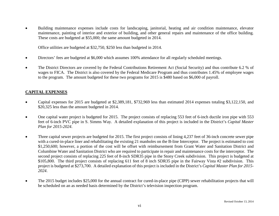• Building maintenance expenses include costs for landscaping, janitorial, heating and air condition maintenance, elevator maintenance, painting of interior and exterior of building, and other general repairs and maintenance of the office building. These costs are budgeted at \$55,000; the same amount budgeted in 2014.

Office utilities are budgeted at \$32,750, \$250 less than budgeted in 2014.

- Directors' fees are budgeted at \$6,000 which assumes 100% attendance for all regularly scheduled meetings.
- The District Directors are covered by the Federal Contributions Retirement Act (Social Security) and thus contribute 6.2 % of wages to FICA. The District is also covered by the Federal Medicare Program and thus contributes 1.45% of employee wages to the program. The amount budgeted for these two programs for 2015 is \$480 based on \$6,000 of payroll.

#### **CAPITAL EXPENSES**

- Capital expenses for 2015 are budgeted at \$2,389,181, \$732,969 less than estimated 2014 expenses totaling \$3,122,150, and \$20,325 less than the amount budgeted in 2014.
- One capital water project is budgeted for 2015. The project consists of replacing 553 feet of 6-inch ductile iron pipe with 553 feet of 6-inch PVC pipe in S. Simms Way. A detailed explanation of this project is included in the District's *Capital Master Plan for 2015-2024*.
- Three capital sewer projects are budgeted for 2015. The first project consists of lining 4,237 feet of 36-inch concrete sewer pipe with a cured-in-place liner and rehabilitating the existing 21 manholes on the B-line Interceptor. The project is estimated to cost \$1,250,600; however, a portion of the cost will be offset with reimbursement from Grant Water and Sanitation District and Columbine Water and Sanitation District who are required to participate in repair and maintenance costs for the interceptor. The second project consists of replacing 225 feet of 8-inch SDR35 pipe in the Stony Creek subdivision. This project is budgeted at \$105,800. The third project consists of replacing 611 feet of 8 inch SDR35 pipe in the Fairway Vista #2 subdivision. This project is budgeted at \$273,700. A detailed explanation of this project is included in the District's *Capital Master Plan for 2015- 2024*.
- The 2015 budget includes \$25,000 for the annual contract for cured-in-place pipe (CIPP) sewer rehabilitation projects that will be scheduled on an as needed basis determined by the District's television inspection program.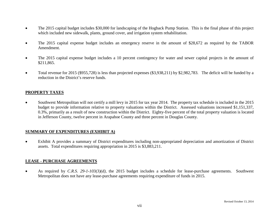- The 2015 capital budget includes \$30,000 for landscaping of the Hogback Pump Station. This is the final phase of this project which included new sidewalk, plants, ground cover, and irrigation system rehabilitation.
- The 2015 capital expense budget includes an emergency reserve in the amount of \$28,672 as required by the TABOR Amendment.
- The 2015 capital expense budget includes a 10 percent contingency for water and sewer capital projects in the amount of \$211,865.
- Total revenue for 2015 (\$955,728) is less than projected expenses (\$3,938,211) by \$2,982,783. The deficit will be funded by a reduction in the District's reserve funds.

#### **PROPERTY TAXES**

• Southwest Metropolitan will not certify a mill levy in 2015 for tax year 2014. The property tax schedule is included in the 2015 budget to provide information relative to property valuations within the District. Assessed valuations increased \$1,151,337, 0.3%, primarily as a result of new construction within the District. Eighty-five percent of the total property valuation is located in Jefferson County, twelve percent in Arapahoe County and three percent in Douglas County.

#### **SUMMARY OF EXPENDITURES (EXHIBIT A)**

• Exhibit A provides a summary of District expenditures including non-appropriated depreciation and amortization of District assets. Total expenditures requiring appropriation in 2015 is \$3,883,211.

#### **LEASE - PURCHASE AGREEMENTS**

• As required by *C.R.S. 29-1-103(3)(d)*, the 2015 budget includes a schedule for lease-purchase agreements. Southwest Metropolitan does not have any lease-purchase agreements requiring expenditure of funds in 2015.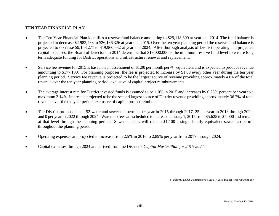#### **TEN YEAR FINANCIAL PLAN**

- The Ten Year Financial Plan identifies a reserve fund balance amounting to \$29,118,809 at year end 2014. The fund balance is projected to decrease \$2,982,483 to \$26,136,326 at year end 2015. Over the ten year planning period the reserve fund balance is projected to decrease \$9,158,277 to \$19,960,532 at year end 2024. After thorough analysis of District operating and projected capital expenses, the Board of Directors in 2014 determine that \$19,000.000 is the minimum reserve fund level to ensure long term adequate funding for District operations and infrastructure renewal and replacement.
- Service fee revenue for 2015 is based on an assessment of \$1.00 per month per  $\frac{3}{4}$  equivalent and is expected to produce revenue amounting to \$177,100. For planning purposes, the fee is projected to increase by \$1.00 every other year during the ten year planning period. Service fee revenue is projected to be the largest source of revenue providing approximately 41% of the total revenue over the ten year planning period, exclusive of capital project reimbursements.
- The average interest rate for District invested funds is assumed to be 1.0% in 2015 and increases by 0.25% percent per year to a maximum 3.14%. Interest is projected to be the second largest source of District revenue providing approximately 36.2% of total revenue over the ten year period, exclusive of capital project reimbursements.
- The District projects to sell 52 water and sewer tap permits per year in 2015 through 2017, 25 per year in 2018 through 2022, and 0 per year in 2022 through 2024. Water tap fees are scheduled to increase January 1, 2015 from \$5,625 to \$7,000 and remain at that level through the planning period. Sewer tap fees will remain \$1,100 a single family equivalent sewer tap permit throughout the planning period.
- Operating expenses are projected to increase from 2.5% in 2016 to 2.89% per year from 2017 through 2024.
- Capital expenses through 2024 are derived from the District's *Capital Master Plan for 2015-2024*.

*S:\data\WPDOCS\FORM\Word Files\SW 2015 Budget Report.FORM.doc*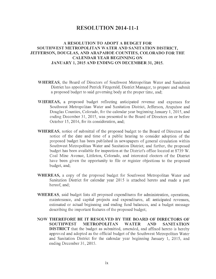## **RESOLUTION 2014-11-1**

#### **A RESOLUTION TO ADOPT A BUDGET FOR**  SOUTHWEST METROPOLITAN WATER AND SANITATION DISTRICT, **JEFFERSON, DOUGLAS, AND ARAPAHOE COUNTIES, COLORADO FOR THE CALENDAR YEAR BEGINNING ON JANUARY 1, 2015 AND ENDING ON DECEMBER 31, 2015.**

- **\VHEREAS,** the Board of Directors of Southwest Metropolitan Water and Sanitation District has appointed Patrick Fitzgerald, District Manager, to prepare and submit a proposed budget to said governing body at the proper time, and;
- **\YHEREAS,** a proposed budget reflecting anticipated revenue and expenses for Southwest Metropolitan Water and Sanitation District, Jefferson, Arapahoe and Douglas Counties, Colorado, for the calendar year beginning January 1, 2015, and ending December 31, 2015, was presented to the Board of Directors on or before October 15, 2014, for its consideration, and;
- **WHEREAS,** notice of submittal of the proposed budget to the Board of Directors and notice of the date and time of a public hearing to consider adoption of the proposed budget has been published in newspapers of general circulation within Southwest Metropolitan Water and Sanitation District; and further, the proposed budget has been available for inspection at the District's office located at 8739 W. Coal Mine A venue, Littleton, Colorado, and interested electors of the District have been given the opportunity to file or register objections to the proposed budget, and;
- **WHEREAS,** a copy of the proposed budget for Southwest Metropolitan Water and Sanitation District for calendar year 2015 is attached hereto and made a part hereof, and;
- **WHEREAS,** said budget lists all proposed expenditures for administration, operations, maintenance, and capital projects and expenditures, all anticipated revenues, estimated or actual beginning and ending fund balances, and a budget message describing the important features of the proposed budget;
- **NOW THEREFORE BE IT RESOLVED BY THE BOARD OF DIRECTORS OF SOUTHWEST METROPOLITAN WATER AND SANITATION DISTRICT** that the budget as submitted, amended, and affixed hereto is hereby approved and adopted as the official budget of the Southwest Metropolitan Water and Sanitation District for the calendar year beginning January 1, 2015, and ending December 31, 2015.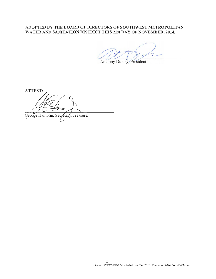#### **ADOPTED BY THE BOARD OF DIRECTORS OF SOUTHWEST METROPOLITAN**  WATER AND SANITATION DISTRICT THIS 21st DAY OF NOVEMBER, 2014.

Anthony Dursey, President

**ATTEST:**  Géorge Hamblin, Secrétary/Treasurer

x *S:\data\WPDOCS\DOCUMENTS\Word Files\SWM Resolution 2014-11-1.FORMdoc*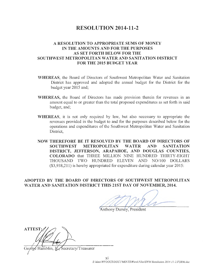## **RESOLUTION 2014-11-2**

#### **A RESOLUTION TO APPROPRIATE SUMS OF MONEY IN THE AMOUNTS AND FOR THE PURPOSES AS SET FORTH BELOW FOR THE SOUTHWEST METROPOLITAN WATER AND SANITATION DISTRICT FOR THE 2015 BUDGET YEAR**

- **\VHEREAS,** the Board of Directors of Southwest Metropolitan Water and Sanitation District has approved and adopted the annual budget for the District for the budget year 2015 and;
- **WHEREAS,** the Board of Directors has made provision therein for revenues in an amount equal to or greater than the total proposed expenditures as set forth in said budget, and;
- **WHEREAS,** it is not only required by law, but also necessary to appropriate the revenues provided in the budget to and for the purposes described below for the operations and expenditures of the Southwest Metropolitan Water and Sanitation District,
- **NOW THEREFORE BE IT RESOLVED BY THE BOARD OF DIRECTORS OF SOUTHWEST METROPOLITAN WATER AND SANITATION DISTRICT, JEFFERSON, ARAPAHOE, AND DOUGLAS COUNTIES, COLORADO** that THREE MILLION NINE HUNDRED THIRTY-EIGHT THOUSAND TWO HUNDRED ELEVEN AND N0/100 DOLLARS (\$3,938,211) is hereby appropriated for expenditure during calendar year 2015:

**ADOPTED BY THE BOARD OF DIRECTORS OF SOUTHWEST METROPOLITAN \VATERAND SANITATION DISTRICT THIS 21ST DAY OF NOVEMBER, 2014.** 

Anthony Dursey, President

**ATTEST** 

Secretary/Treasurer

S:\data\WPDOCS\DOCU'MENTS\Word Files\SWM Resolution 2014-11-2.FORM.doc

Xl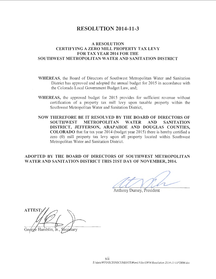## **RESOLUTION 2014-11-3**

#### **A RESOLUTION CERTIFYING A ZERO MILL PROPERTY TAX LEVY FOR TAX YEAR 2014 FOR THE SOUTHWEST METROPOLITAN WATER AND SANITATION DISTRICT**

- **\VHEREAS,** the Board of Directors of Southwest Metropolitan Water and Sanitation District has approved and adopted the annual budget for 2015 in accordance with the Colorado Local Government Budget Law, and;
- **\VHEREAS,** the approved budget for 2015 provides for sufficient revenue without certification of a property tax mill levy upon taxable property within the Southwest Metropolitan Water and Sanitation District,
- **NOW THEREFORE BE IT RESOLVED BY THE BOARD OF DIRECTORS OF SOUTHWEST METROPOLITAN WATER AND SANITATION DISTRICT, JEFFERSON, ARAPAHOE AND DOUGLAS COUNTIES, COLORADO** that for tax year 2014 (budget year 2015) there is hereby certified a zero (0) mill property tax levy upon all property located within Southwest Metropolitan Water and Sanitation District.

**ADOPTED BY THE BOARD OF DIRECTORS OF SOUTHWEST METROPOLITAN WATER AND SANITATION DISTRICT THIS 21ST DAY OF NOVEMBER, 2014.** 

Anthony Dursey, President

**ATTEST** cretary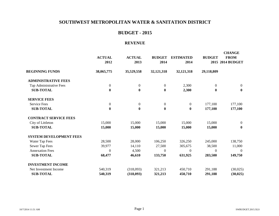## **BUDGET - 2015**

#### **REVENUE**

|                                | <b>ACTUAL</b><br>2012 | <b>ACTUAL</b><br>2013 | <b>BUDGET</b><br>2014 | <b>ESTIMATED</b><br>2014 | <b>BUDGET</b>    | <b>CHANGE</b><br><b>FROM</b><br>2015 2014 BUDGET |
|--------------------------------|-----------------------|-----------------------|-----------------------|--------------------------|------------------|--------------------------------------------------|
| <b>BEGINNING FUNDS</b>         | 38,065,775            | 35,529,558            | 32, 121, 318          | 32, 121, 318             | 29,118,809       |                                                  |
| <b>ADMINISTRATIVE FEES</b>     |                       |                       |                       |                          |                  |                                                  |
| Tap Administrative Fees        | $\boldsymbol{0}$      | $\boldsymbol{0}$      | $\boldsymbol{0}$      | 2,300                    | $\boldsymbol{0}$ | $\boldsymbol{0}$                                 |
| <b>SUB-TOTAL</b>               | $\boldsymbol{0}$      | $\bf{0}$              | $\bf{0}$              | 2,300                    | $\bf{0}$         | $\bf{0}$                                         |
| <b>SERVICE FEES</b>            |                       |                       |                       |                          |                  |                                                  |
| <b>Service Fees</b>            | $\boldsymbol{0}$      | $\mathbf{0}$          | $\boldsymbol{0}$      | $\boldsymbol{0}$         | 177,100          | 177,100                                          |
| <b>SUB-TOTAL</b>               | $\bf{0}$              | $\bf{0}$              | $\bf{0}$              | $\bf{0}$                 | 177,100          | 177,100                                          |
| <b>CONTRACT SERVICE FEES</b>   |                       |                       |                       |                          |                  |                                                  |
| City of Littleton              | 15,000                | 15,000                | 15,000                | 15,000                   | 15,000           | $\overline{0}$                                   |
| <b>SUB-TOTAL</b>               | 15,000                | 15,000                | 15,000                | 15,000                   | 15,000           | $\bf{0}$                                         |
| <b>SYSTEM DEVELOPMENT FEES</b> |                       |                       |                       |                          |                  |                                                  |
| Water Tap Fees                 | 28,500                | 28,000                | 106,250               | 326,250                  | 245,000          | 138,750                                          |
| Sewer Tap Fees                 | 39,977                | 14,110                | 27,500                | 305,675                  | 38,500           | 11,000                                           |
| <b>Annexation Fees</b>         | $\overline{0}$        | 4,500                 | $\theta$              | $\theta$                 | $\theta$         | $\overline{0}$                                   |
| <b>SUB-TOTAL</b>               | 68,477                | 46,610                | 133,750               | 631,925                  | 283,500          | 149,750                                          |
| <b>INVESTMENT INCOME</b>       |                       |                       |                       |                          |                  |                                                  |
| Net Investment Income          | 540,319               | (318,093)             | 321,213               | 450,710                  | 291,188          | (30,025)                                         |
| <b>SUB-TOTAL</b>               | 540,319               | (318,093)             | 321,213               | 450,710                  | 291,188          | (30, 025)                                        |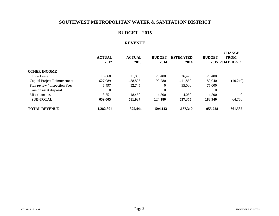## **BUDGET - 2015**

#### **REVENUE**

|                               | <b>ACTUAL</b><br>2012 | <b>ACTUAL</b><br>2013 | <b>BUDGET</b><br>2014 | <b>ESTIMATED</b><br>2014 | <b>BUDGET</b> | <b>CHANGE</b><br><b>FROM</b><br>2015 2014 BUDGET |
|-------------------------------|-----------------------|-----------------------|-----------------------|--------------------------|---------------|--------------------------------------------------|
| <b>OTHER INCOME</b>           |                       |                       |                       |                          |               |                                                  |
| <b>Office Lease</b>           | 16.668                | 21,896                | 26,400                | 26,475                   | 26,400        | $\Omega$                                         |
| Capital Project Reimursement  | 627,089               | 488.836               | 93,280                | 411,850                  | 83,040        | (10,240)                                         |
| Plan review / Inspection Fees | 6.497                 | 52.745                | $\Omega$              | 95,000                   | 75,000        |                                                  |
| Gain on asset disposal        | 0                     | $\Omega$              | $\Omega$              | $\Omega$                 | $\Omega$      | $\theta$                                         |
| Miscellaneous                 | 8.751                 | 18.450                | 4.500                 | 4,050                    | 4.500         | $\Omega$                                         |
| <b>SUB-TOTAL</b>              | 659,005               | 581,927               | 124,180               | 537,375                  | 188,940       | 64,760                                           |
| <b>TOTAL REVENUE</b>          | 1,282,801             | 325,444               | 594,143               | 1,637,310                | 955,728       | 361,585                                          |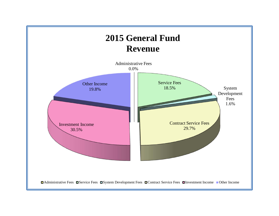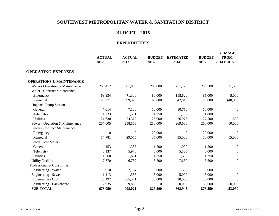## **BUDGET - 2015**

|                                     | <b>ACTUAL</b><br>2012 | <b>ACTUAL</b><br>2013 | <b>BUDGET</b><br>2014 | <b>ESTIMATED</b><br>2014 | <b>BUDGET</b><br>2015 | <b>CHANGE</b><br><b>FROM</b><br>2014 BUDGET |
|-------------------------------------|-----------------------|-----------------------|-----------------------|--------------------------|-----------------------|---------------------------------------------|
| <b>OPERATING EXPENSES</b>           |                       |                       |                       |                          |                       |                                             |
| <b>OPERATIONS &amp; MAINTENANCE</b> |                       |                       |                       |                          |                       |                                             |
| Water - Operation & Maintenance     | 268,412               | 301,850               | 285,000               | 271,725                  | 296,500               | 11,500                                      |
| Water - Contract Maintenance        |                       |                       |                       |                          |                       |                                             |
| Emergency                           | 68,334                | 71,300                | 80,000                | 118,620                  | 85,000                | 5,000                                       |
| Remedial                            | 40,271                | 99,326                | 65,000                | 42,845                   | 25,000                | (40,000)                                    |
| <b>Hogback Pump Station</b>         |                       |                       |                       |                          |                       |                                             |
| General                             | 7,014                 | 7,100                 | 10,000                | 10,750                   | 10,000                | $\Omega$                                    |
| Telemetry                           | 1,733                 | 1,591                 | 1,750                 | 1,700                    | 1,800                 | 50                                          |
| <b>Utilities</b>                    | 21,630                | 24,312                | 26,000                | 26,975                   | 27,500                | 1,500                                       |
| Sewer - Operation & Maintenance     | 207,005               | 258,563               | 250,000               | 269,680                  | 260,000               | 10,000                                      |
| Sewer - Contract Maintenance        |                       |                       |                       |                          |                       |                                             |
| Emergency                           | $\boldsymbol{0}$      | $\boldsymbol{0}$      | 20,000                | $\theta$                 | 20,000                | $\overline{0}$                              |
| Remedial                            | 17,781                | 29,055                | 35,000                | 35,000                   | 50,000                | 15,000                                      |
| <b>Sewer Flow Meters</b>            |                       |                       |                       |                          |                       |                                             |
| General                             | 153                   | 1,388                 | 1,500                 | 1,000                    | 1,500                 | $\overline{0}$                              |
| Telemetry                           | 6,137                 | 5,973                 | 6,000                 | 5,825                    | 6,000                 | $\boldsymbol{0}$                            |
| <b>Utilities</b>                    | 1,560                 | 1,681                 | 1,750                 | 1,695                    | 1,750                 | $\overline{0}$                              |
| <b>Utility Notification</b>         | 7,870                 | 6,782                 | 8,500                 | 7,630                    | 8,500                 | $\mathbf{0}$                                |
| Professional & Consulting           |                       |                       |                       |                          |                       |                                             |
| Engineering - Water                 | 910                   | 2,184                 | 5,000                 | 500                      | 5,000                 | $\mathbf{0}$                                |
| Engineering - Sewer                 | 1,113                 | 1,536                 | 5,000                 | 5,000                    | 5,000                 | $\overline{0}$                              |
| Engineering - GIS                   | 20,192                | 65,541                | 25,000                | 20,000                   | 25,000                | $\overline{0}$                              |
| Engineering - Backcharge            | 2,935                 | 29,839                | $\theta$              | 50,000                   | 50,000                | 50,000                                      |
| <b>SUB-TOTAL</b>                    | 673,050               | 908,021               | 825,500               | 868,945                  | 878,550               | 53,050                                      |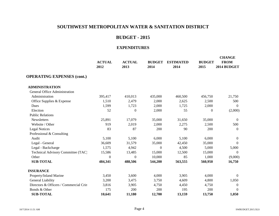## **BUDGET - 2015**

|                                        | <b>ACTUAL</b><br>2012 | <b>ACTUAL</b><br>2013 | <b>BUDGET</b><br>2014 | <b>ESTIMATED</b><br>2014 | <b>BUDGET</b><br>2015 | <b>CHANGE</b><br><b>FROM</b><br>2014 BUDGET |
|----------------------------------------|-----------------------|-----------------------|-----------------------|--------------------------|-----------------------|---------------------------------------------|
| <b>OPERATING EXPENSES (cont.)</b>      |                       |                       |                       |                          |                       |                                             |
| <b>ADMINISTRATION</b>                  |                       |                       |                       |                          |                       |                                             |
| <b>General Office Administration</b>   |                       |                       |                       |                          |                       |                                             |
| Administration                         | 395,417               | 410,013               | 435,000               | 460,500                  | 456,750               | 21,750                                      |
| Office Supplies & Expense              | 1,510                 | 2,479                 | 2,000                 | 2,625                    | 2,500                 | 500                                         |
| Dues                                   | 1,599                 | 1,723                 | 2,000                 | 1,725                    | 2,000                 | $\theta$                                    |
| Election                               | 52                    | $\theta$              | 2,000                 | 55                       | $\overline{0}$        | (2,000)                                     |
| <b>Public Relations</b>                |                       |                       |                       |                          |                       |                                             |
| Newsletters                            | 25,891                | 17,079                | 35,000                | 31,650                   | 35,000                | $\mathbf{0}$                                |
| Website / Other                        | 919                   | 2,019                 | 2,000                 | 2,275                    | 2,500                 | 500                                         |
| <b>Legal Notices</b>                   | 83                    | 87                    | 200                   | 90                       | 200                   | $\Omega$                                    |
| Professional & Consulting              |                       |                       |                       |                          |                       |                                             |
| Audit                                  | 5,100                 | 5,100                 | 6,000                 | 5,100                    | 6,000                 | $\mathbf{0}$                                |
| Legal - General                        | 36,609                | 31,579                | 35,000                | 42,450                   | 35,000                | $\Omega$                                    |
| Legal - Backcharge                     | 1,575                 | 4,942                 | $\Omega$              | 4,500                    | 5,000                 | 5,000                                       |
| Technical Advisory Committee (TAC)     | 15,586                | 13,485                | 15,000                | 12,500                   | 15,000                | $\Omega$                                    |
| Other                                  | $\theta$              | $\Omega$              | 10,000                | 85                       | 1,000                 | (9,000)                                     |
| <b>SUB-TOTAL</b>                       | 484,341               | 488,506               | 544,200               | 563,555                  | 560,950               | 16,750                                      |
| <b>INSURANCE</b>                       |                       |                       |                       |                          |                       |                                             |
| Property/Inland Marine                 | 3,450                 | 3,600                 | 4,000                 | 3,905                    | 4,000                 | $\theta$                                    |
| General Liability                      | 3,200                 | 3,475                 | 3,750                 | 4,609                    | 4,800                 | 1,050                                       |
| Directors & Officers / Commercial Crin | 3,816                 | 3,905                 | 4,750                 | 4,450                    | 4,750                 | $\theta$                                    |
| Bonds & Other                          | 175                   | 200                   | 200                   | 195                      | 200                   | $\Omega$                                    |
| <b>SUB-TOTAL</b>                       | 10,641                | 11,180                | 12,700                | 13,159                   | 13,750                | 1,050                                       |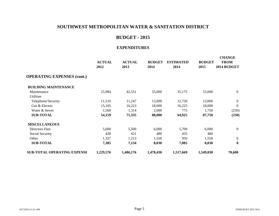## **BUDGET - 2015**

|                                    | <b>ACTUAL</b><br>2012 | <b>ACTUAL</b><br>2013 | <b>BUDGET</b><br>2014 | <b>ESTIMATED</b><br>2014 | <b>BUDGET</b><br>2015 | <b>CHANGE</b><br><b>FROM</b><br>2014 BUDGET |
|------------------------------------|-----------------------|-----------------------|-----------------------|--------------------------|-----------------------|---------------------------------------------|
| <b>OPERATING EXPENSES (cont.)</b>  |                       |                       |                       |                          |                       |                                             |
| <b>BUILDING MAINTENANCE</b>        |                       |                       |                       |                          |                       |                                             |
| Maintenance                        | 25,984                | 42,551                | 55,000                | 35,175                   | 55,000                | $\overline{0}$                              |
| Utilities                          |                       |                       |                       |                          |                       |                                             |
| Telephone/Security                 | 11,510                | 11,247                | 13,000                | 12,750                   | 13,000                | $\mathbf{0}$                                |
| Gas & Electric                     | 15,105                | 16,223                | 18,000                | 16,225                   | 18,000                | $\theta$                                    |
| Water & Sewer                      | 1,560                 | 1,314                 | 2,000                 | 775                      | 1,750                 | (250)                                       |
| <b>SUB-TOTAL</b>                   | 54,159                | 71,335                | 88,000                | 64,925                   | 87,750                | (250)                                       |
| <b>MISCELLANEOUS</b>               |                       |                       |                       |                          |                       |                                             |
| Directors Fees                     | 5,600                 | 5,500                 | 6,000                 | 5,700                    | 6,000                 | $\overline{0}$                              |
| Social Security                    | 428                   | 421                   | 480                   | 435                      | 480                   |                                             |
| Other                              | 1,357                 | 1,213                 | 1,550                 | 950                      | 1,550                 | $\mathbf{0}$                                |
| <b>SUB-TOTAL</b>                   | 7,385                 | 7,134                 | 8,030                 | 7,085                    | 8,030                 | $\bf{0}$                                    |
| <b>SUB-TOTAL OPERATING EXPENSE</b> | 1,229,576             | 1,486,176             | 1,478,430             | 1,517,669                | 1,549,030             | 70,600                                      |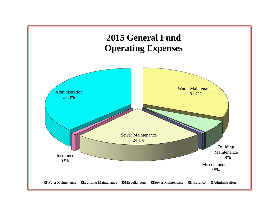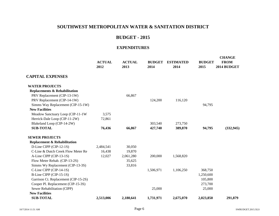## **BUDGET - 2015**

|                                          | <b>ACTUAL</b><br>2012 | <b>ACTUAL</b><br>2013 | <b>BUDGET</b><br>2014 | <b>ESTIMATED</b><br>2014 | <b>BUDGET</b><br>2015 | <b>CHANGE</b><br><b>FROM</b><br>2014 BUDGET |
|------------------------------------------|-----------------------|-----------------------|-----------------------|--------------------------|-----------------------|---------------------------------------------|
| <b>CAPITAL EXPENSES</b>                  |                       |                       |                       |                          |                       |                                             |
| <b>WATER PROJECTS</b>                    |                       |                       |                       |                          |                       |                                             |
| <b>Replacements &amp; Rehabilitation</b> |                       |                       |                       |                          |                       |                                             |
| PRV Replacement (CIP-13-1W)              |                       | 66,867                |                       |                          |                       |                                             |
| PRV Replacement (CIP-14-1W)              |                       |                       | 124,200               | 116,120                  |                       |                                             |
| Simms Way Replacement (CIP-15-1W)        |                       |                       |                       |                          | 94,795                |                                             |
| <b>New Facilities</b>                    |                       |                       |                       |                          |                       |                                             |
| Meadow Sanctuary Loop (CIP-11-1W)        | 3,575                 |                       |                       |                          |                       |                                             |
| Herrick-Dale Loop (CIP-11-2W)            | 72,861                |                       |                       |                          |                       |                                             |
| Blakeland Loop (CIP-14-2W)               |                       |                       | 303,540               | 273,750                  |                       |                                             |
| <b>SUB-TOTAL</b>                         | 76,436                | 66,867                | 427,740               | 389,870                  | 94,795                | (332, 945)                                  |
| <b>SEWER PROJECTS</b>                    |                       |                       |                       |                          |                       |                                             |
| <b>Replacement &amp; Rehabilitation</b>  |                       |                       |                       |                          |                       |                                             |
| D-Line CIPP (CIP-12-1S)                  | 2,484,541             | 30,050                |                       |                          |                       |                                             |
| C-Line & Dutch Creek Flow Meter Re       | 16,438                | 19,870                |                       |                          |                       |                                             |
| A-Line CIPP (CIP-13-1S)                  | 12,027                | 2,061,280             | 200,000               | 1,568,820                |                       |                                             |
| Flow Meter Rehab. (CIP-13-2S)            |                       | 35,625                |                       |                          |                       |                                             |
| Simms Wy Replacement (CIP-13-3S)         |                       | 33,816                |                       |                          |                       |                                             |
| C-Line CIPP (CIP-14-1S)                  |                       |                       | 1,506,971             | 1,106,250                | 368,750               |                                             |
| B-Line CIPP (CIP-15-1S)                  |                       |                       |                       |                          | 1,250,600             |                                             |
| Garrison Ct. Replacement (CIP-15-2S)     |                       |                       |                       |                          | 105,800               |                                             |
| Cooper Pl. Replacement (CIP-15-3S)       |                       |                       |                       |                          | 273,700               |                                             |
| Sewer Rehabilitation (CIPP)              |                       |                       | 25,000                |                          | 25,000                |                                             |
| <b>New Facilities</b>                    |                       |                       |                       |                          |                       |                                             |
| <b>SUB-TOTAL</b>                         | 2,513,006             | 2,180,641             | 1,731,971             | 2,675,070                | 2,023,850             | 291,879                                     |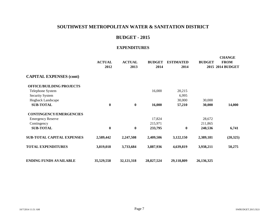## **BUDGET - 2015**

|                                   | <b>ACTUAL</b><br>2012 | <b>ACTUAL</b><br>2013 | <b>BUDGET</b><br>2014 | <b>ESTIMATED</b><br>2014 | <b>BUDGET</b> | <b>CHANGE</b><br><b>FROM</b><br>2015 2014 BUDGET |
|-----------------------------------|-----------------------|-----------------------|-----------------------|--------------------------|---------------|--------------------------------------------------|
| <b>CAPITAL EXPENSES (cont)</b>    |                       |                       |                       |                          |               |                                                  |
| <b>OFFICE/BUILDING PROJECTS</b>   |                       |                       |                       |                          |               |                                                  |
| Telephone System                  |                       |                       | 16,000                | 20,215                   |               |                                                  |
| <b>Security System</b>            |                       |                       |                       | 6,995                    |               |                                                  |
| Hogback Landscape                 |                       |                       |                       | 30,000                   | 30,000        |                                                  |
| <b>SUB-TOTAL</b>                  | $\bf{0}$              | $\bf{0}$              | 16,000                | 57,210                   | 30,000        | 14,000                                           |
| <b>CONTINGENCY/EMERGENCIES</b>    |                       |                       |                       |                          |               |                                                  |
| <b>Emergency Reserve</b>          |                       |                       | 17,824                |                          | 28,672        |                                                  |
| Contingency                       |                       |                       | 215,971               |                          | 211,865       |                                                  |
| <b>SUB-TOTAL</b>                  | $\bf{0}$              | $\bf{0}$              | 233,795               | $\bf{0}$                 | 240,536       | 6,741                                            |
| <b>SUB-TOTAL CAPITAL EXPENSES</b> | 2,589,442             | 2,247,508             | 2,409,506             | 3,122,150                | 2,389,181     | (20, 325)                                        |
| <b>TOTAL EXPENDITURES</b>         | 3,819,018             | 3,733,684             | 3,887,936             | 4,639,819                | 3,938,211     | 50,275                                           |
| <b>ENDING FUNDS AVAILABLE</b>     | 35,529,558            | 32, 121, 318          | 28,827,524            | 29,118,809               | 26,136,325    |                                                  |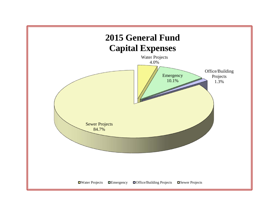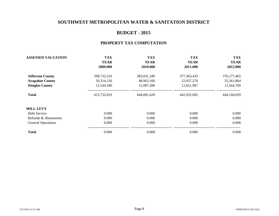## **BUDGET - 2015**

#### **PROPERTY TAX COMPUTATION**

| <b>ASSESSED VALUATION</b> | <b>TAX</b>  | <b>TAX</b>  | <b>TAX</b>    | <b>TAX</b>                               |  |
|---------------------------|-------------|-------------|---------------|------------------------------------------|--|
|                           | <b>YEAR</b> | <b>YEAR</b> | <b>YEAR</b>   | <b>YEAR</b><br>2012.000<br>376, 177, 465 |  |
|                           | 2009.000    | 2010.000    | 2011.000      |                                          |  |
| <b>Jefferson County</b>   | 398,732,310 | 383,031,180 | 377, 363, 435 |                                          |  |
| <b>Arapahoe County</b>    | 50,314,150  | 48,963,160  | 52,937,270    | 55,361,864                               |  |
| <b>Douglas County</b>     | 12,544,180  | 12,087,280  | 12,651,987    | 12,564,700                               |  |
| <b>Total</b>              | 415,732,810 | 444,081,620 | 442,952,692   | 444,104,029                              |  |
| <b>MILL LEVY</b>          |             |             |               |                                          |  |
| Debt Service              | 0.000       | 0.000       | 0.000         | 0.000                                    |  |
| Refunds & Abatements      | 0.000       | 0.000       | 0.000         | 0.000                                    |  |
| <b>General Operations</b> | 0.000       | 0.000       | 0.000         | 0.000                                    |  |
| <b>Total</b>              | 0.000       | 0.000       | 0.000         | 0.000                                    |  |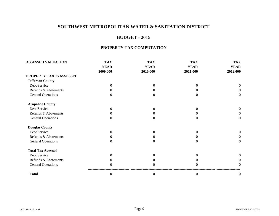## **BUDGET - 2015**

#### **PROPERTY TAX COMPUTATION**

| <b>ASSESSED VALUATION</b> | <b>TAX</b>   | <b>TAX</b>   | <b>TAX</b>     | <b>TAX</b>  |
|---------------------------|--------------|--------------|----------------|-------------|
|                           | <b>YEAR</b>  | <b>YEAR</b>  | <b>YEAR</b>    | <b>YEAR</b> |
|                           | 2009.000     | 2010.000     | 2011.000       | 2012.000    |
| PROPERTY TAXES ASSESSED   |              |              |                |             |
| <b>Jefferson County</b>   |              |              |                |             |
| Debt Service              | $\Omega$     | 0            | 0              | $\Omega$    |
| Refunds & Abatements      | 0            | 0            |                | $\Omega$    |
| <b>General Operations</b> | $\Omega$     | 0            |                | $\Omega$    |
| <b>Arapahoe County</b>    |              |              |                |             |
| Debt Service              | $\Omega$     | 0            | $\theta$       | $\Omega$    |
| Refunds & Abatements      | 0            | 0            |                | 0           |
| <b>General Operations</b> | $\Omega$     | 0            | $^{(1)}$       | $\Omega$    |
| <b>Douglas County</b>     |              |              |                |             |
| Debt Service              | $\Omega$     | 0            | 0              | $\Omega$    |
| Refunds & Abatements      | 0            | 0            | $^{(1)}$       | $\Omega$    |
| <b>General Operations</b> | 0            | 0            | $\mathbf{0}$   | $\Omega$    |
| <b>Total Tax Assessed</b> |              |              |                |             |
| Debt Service              | $\Omega$     | 0            | 0              | 0           |
| Refunds & Abatements      |              | 0            |                | $\theta$    |
| <b>General Operations</b> | 0            | $\Omega$     | 0              | $\Omega$    |
| <b>Total</b>              | $\mathbf{0}$ | $\mathbf{0}$ | $\overline{0}$ | 0           |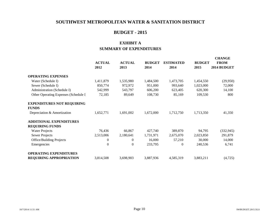## **BUDGET - 2015**

## **EXHIBIT A SUMMARY OF EXPENDITURES**

|                                                          | <b>ACTUAL</b><br>2012 | <b>ACTUAL</b><br>2013 | <b>BUDGET</b><br>2014 | <b>ESTIMATED</b><br>2014 | <b>BUDGET</b><br>2015 | <b>CHANGE</b><br><b>FROM</b><br>2014 BUDGET |
|----------------------------------------------------------|-----------------------|-----------------------|-----------------------|--------------------------|-----------------------|---------------------------------------------|
| <b>OPERATING EXPENSES</b>                                |                       |                       |                       |                          |                       |                                             |
| Water (Schedule I)                                       | 1,411,879             | 1,535,980             | 1,484,500             | 1,473,705                | 1,454,550             | (29,950)                                    |
| Sewer (Schedule I)                                       | 850,774               | 972,972               | 951,000               | 993,640                  | 1,023,000             | 72,000                                      |
| Administration (Schedule I)                              | 542,999               | 543,797               | 606,200               | 623,405                  | 620,300               | 14,100                                      |
| Other Operating Expenses (Schedule I                     | 72,185                | 89,649                | 108,730               | 85,169                   | 109,530               | 800                                         |
| <b>EXPENDITURES NOT REQUIRING</b><br><b>FUNDS</b>        |                       |                       |                       |                          |                       |                                             |
| Depreciation & Amortization                              | 1,652,771             | 1,691,002             | 1,672,000             | 1,712,750                | 1,713,350             | 41,350                                      |
| <b>ADDITIONAL EXPENDITURES</b><br><b>REQUIRING FUNDS</b> |                       |                       |                       |                          |                       |                                             |
| <b>Water Projects</b>                                    | 76,436                | 66,867                | 427,740               | 389,870                  | 94,795                | (332, 945)                                  |
| Sewer Projects                                           | 2,513,006             | 2,180,641             | 1,731,971             | 2,675,070                | 2,023,850             | 291,879                                     |
| <b>Office/Building Projects</b>                          | 0                     | $\theta$              | 16,000                | 57,210                   | 30,000                | 14,000                                      |
| Emergencies                                              | $\overline{0}$        | $\overline{0}$        | 233,795               | $\mathbf{0}$             | 240,536               | 6,741                                       |
| <b>OPERATING EXPENDITURES</b>                            |                       |                       |                       |                          |                       |                                             |
| <b>REQUIRING APPROPRIATION</b>                           | 3,814,508             | 3,698,903             | 3,887,936             | 4,585,319                | 3,883,211             | (4,725)                                     |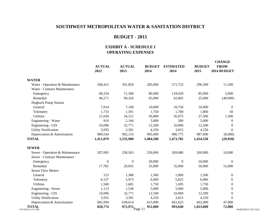#### **BUDGET - 2015**

#### **EXHIBIT A - SCHEDULE I OPERATING EXPENSES**

|                                    |                       |                       |                       |                          |                       |                            | <b>CHANGE</b>     |  |  |
|------------------------------------|-----------------------|-----------------------|-----------------------|--------------------------|-----------------------|----------------------------|-------------------|--|--|
|                                    | <b>ACTUAL</b><br>2012 | <b>ACTUAL</b><br>2013 | <b>BUDGET</b><br>2014 | <b>ESTIMATED</b><br>2014 | <b>BUDGET</b><br>2015 | <b>FROM</b><br>2014 BUDGET |                   |  |  |
| <b>WATER</b>                       |                       |                       |                       |                          |                       |                            |                   |  |  |
| Water - Operation & Maintenance    | 268,412               | 301,850               | 285,000               | 271,725                  | 296,500               | 11,500                     |                   |  |  |
| Water - Contract Maintenance       |                       |                       |                       |                          |                       |                            |                   |  |  |
| Emergency                          | 68,334                | 71,300                | 80,000                | 118,620                  | 85,000                | 5,000                      |                   |  |  |
| Remedial                           | 40,271                | 99,326                | 65,000                | 42,845                   | 25,000                | (40,000)                   |                   |  |  |
| <b>Hogback Pump Station</b>        |                       |                       |                       |                          |                       |                            |                   |  |  |
| General                            | 7,014                 | 7,100                 | 10,000                | 10,750                   | 10,000                | $\boldsymbol{0}$           |                   |  |  |
| Telemetry                          | 1,733                 | 1,591                 | 1,750                 | 1,700                    | 1,800                 | 50                         |                   |  |  |
| <b>Utilities</b>                   | 21,630                | 24,312                | 26,000                | 26,975                   | 27,500                | 1,500                      |                   |  |  |
| Engineering - Water                | 910                   | 2,184                 | 5,000                 | 500                      | 5,000                 | $\boldsymbol{0}$           |                   |  |  |
| Engineering - GIS                  | 10,096                | 32,771                | 12,500                | 10,000                   | 12,500                | $\mathbf{0}$               |                   |  |  |
| <b>Utility Notification</b>        | 3,935                 | 3,391                 | 4,250                 | 3,815                    | 4,250                 | $\Omega$                   |                   |  |  |
| Depreciation & Amortization        | 989,544               | 992,155               | 995,000               | 986,775                  | 987,000               | (8,000)                    |                   |  |  |
| <b>TOTAL</b>                       | 1,411,879             | 1,535,980             | 1,484,500             | 1,473,705                | 1,454,550             | (29,950)                   |                   |  |  |
| <b>SEWER</b>                       |                       |                       |                       |                          |                       |                            |                   |  |  |
| Sewer - Operation & Maintenance    | 207,005               | 258,563               | 250,000               | 269,680                  | 260,000               | 10,000                     |                   |  |  |
| Sewer - Contract Maintenance       |                       |                       |                       |                          |                       |                            |                   |  |  |
| Emergency                          | $\boldsymbol{0}$      | $\boldsymbol{0}$      | 20,000                | $\boldsymbol{0}$         | 20,000                | $\boldsymbol{0}$           |                   |  |  |
| Remedial                           | 17,781                | 29,055                | 35,000                | 35,000                   | 50,000                | 15,000                     |                   |  |  |
| <b>Sewer Flow Meters</b>           |                       |                       |                       |                          |                       |                            |                   |  |  |
| General                            | 153                   | 1,388                 | 1,500                 | 1,000                    | 1,500                 | $\boldsymbol{0}$           |                   |  |  |
| Telemetry                          | 6,137                 | 5,973                 | 6,000                 | 5,825                    | 6,000                 | $\boldsymbol{0}$           |                   |  |  |
| <b>Utilities</b>                   | 1,560                 | 1,681                 | 1,750                 | 1,695                    | 1,750                 | $\mathbf{0}$               |                   |  |  |
| Engineering - Sewer                | 1,113                 | 1,536                 | 5,000                 | 5,000                    | 5,000                 | $\boldsymbol{0}$           |                   |  |  |
| Engineering - GIS                  | 10,096                | 32,771                | 12,500                | 10,000                   | 12,500                | $\mathbf{0}$               |                   |  |  |
| <b>Utility Notification</b>        | 3,935                 | 3,391                 | 4,250                 | 3,815                    | 4,250                 | $\mathbf{0}$               |                   |  |  |
| Depreciation & Amortization        | 602,994               | 638,614               | 615,000               | 661,625                  | 662,000               | 47,000                     |                   |  |  |
| <b>TOTAL</b><br>10/7/2014 11:51 AM | 850,774               | 972,972 Page 11       | 951,000               | 993,640                  | 1,023,000             | 72,000                     | SWBUDGET.2015.XLS |  |  |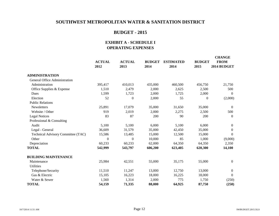## **BUDGET - 2015**

#### **EXHIBIT A - SCHEDULE I OPERATING EXPENSES**

|                                    | <b>ACTUAL</b><br>2012 | <b>ACTUAL</b><br>2013 | <b>BUDGET</b><br>2014 | <b>ESTIMATED</b><br>2014 | <b>BUDGET</b><br>2015 | <b>CHANGE</b><br><b>FROM</b><br>2014 BUDGET |
|------------------------------------|-----------------------|-----------------------|-----------------------|--------------------------|-----------------------|---------------------------------------------|
| <b>ADMINISTRATION</b>              |                       |                       |                       |                          |                       |                                             |
| General Office Administration      |                       |                       |                       |                          |                       |                                             |
| Administration                     | 395,417               | 410,013               | 435,000               | 460,500                  | 456,750               | 21,750                                      |
| Office Supplies & Expense          | 1,510                 | 2,479                 | 2,000                 | 2,625                    | 2,500                 | 500                                         |
| Dues                               | 1,599                 | 1,723                 | 2,000                 | 1,725                    | 2,000                 | $\theta$                                    |
| Election                           | 52                    | $\theta$              | 2,000                 | 55                       | $\theta$              | (2,000)                                     |
| <b>Public Relations</b>            |                       |                       |                       |                          |                       |                                             |
| Newsletters                        | 25,891                | 17,079                | 35,000                | 31,650                   | 35,000                | $\theta$                                    |
| Website / Other                    | 919                   | 2,019                 | 2,000                 | 2,275                    | 2,500                 | 500                                         |
| <b>Legal Notices</b>               | 83                    | 87                    | 200                   | 90                       | 200                   | $\Omega$                                    |
| Professional & Consulting          |                       |                       |                       |                          |                       |                                             |
| Audit                              | 5,100                 | 5,100                 | 6,000                 | 5,100                    | 6,000                 | $\boldsymbol{0}$                            |
| Legal - General                    | 36,609                | 31,579                | 35,000                | 42,450                   | 35,000                | $\theta$                                    |
| Technical Advisory Committee (TAC) | 15,586                | 13,485                | 15,000                | 12,500                   | 15,000                | $\Omega$                                    |
| Other                              | $\overline{0}$        | $\mathbf{0}$          | 10,000                | 85                       | 1,000                 | (9,000)                                     |
| Depreciation                       | 60,233                | 60,233                | 62,000                | 64,350                   | 64,350                | 2,350                                       |
| <b>TOTAL</b>                       | 542,999               | 543,797               | 606,200               | 623,405                  | 620,300               | 14,100                                      |
| <b>BUILDING MAINTENANCE</b>        |                       |                       |                       |                          |                       |                                             |
| Maintenance                        | 25,984                | 42,551                | 55,000                | 35,175                   | 55,000                | $\overline{0}$                              |
| <b>Utilities</b>                   |                       |                       |                       |                          |                       |                                             |
| Telephone/Security                 | 11,510                | 11,247                | 13,000                | 12,750                   | 13,000                | $\boldsymbol{0}$                            |
| Gas & Electric                     | 15,105                | 16,223                | 18,000                | 16,225                   | 18,000                | $\theta$                                    |
| Water & Sewer                      | 1,560                 | 1,314                 | 2,000                 | 775                      | 1,750                 | (250)                                       |
| <b>TOTAL</b>                       | 54,159                | 71,335                | 88,000                | 64,925                   | 87,750                | (250)                                       |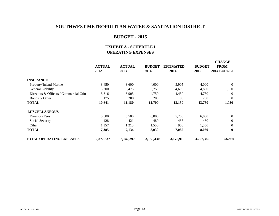#### **BUDGET - 2015**

#### **EXHIBIT A - SCHEDULE I OPERATING EXPENSES**

|                                        | <b>ACTUAL</b><br>2012 | <b>ACTUAL</b><br>2013 | <b>BUDGET</b><br>2014 | <b>ESTIMATED</b><br>2014 | <b>BUDGET</b><br>2015 | <b>CHANGE</b><br><b>FROM</b><br>2014 BUDGET |
|----------------------------------------|-----------------------|-----------------------|-----------------------|--------------------------|-----------------------|---------------------------------------------|
| <b>INSURANCE</b>                       |                       |                       |                       |                          |                       |                                             |
| Property/Inland Marine                 | 3,450                 | 3,600                 | 4,000                 | 3,905                    | 4,000                 | $\theta$                                    |
| General Liability                      | 3,200                 | 3,475                 | 3,750                 | 4,609                    | 4,800                 | 1,050                                       |
| Directors & Officers / Commercial Crin | 3,816                 | 3,905                 | 4,750                 | 4,450                    | 4,750                 | $\Omega$                                    |
| Bonds & Other                          | 175                   | <b>200</b>            | <b>200</b>            | 195                      | 200                   | $\theta$                                    |
| <b>TOTAL</b>                           | 10,641                | 11,180                | 12,700                | 13,159                   | 13,750                | 1,050                                       |
| <b>MISCELLANEOUS</b>                   |                       |                       |                       |                          |                       |                                             |
| Directors Fees                         | 5,600                 | 5,500                 | 6,000                 | 5,700                    | 6,000                 | $\theta$                                    |
| Social Security                        | 428                   | 421                   | 480                   | 435                      | 480                   | $\mathbf{0}$                                |
| Other                                  | 1,357                 | 1,213                 | 1,550                 | 950                      | 1,550                 | $\theta$                                    |
| <b>TOTAL</b>                           | 7,385                 | 7,134                 | 8,030                 | 7,085                    | 8,030                 | $\mathbf{0}$                                |
| TOTAL OPERATING EXPENSES               | 2,877,837             | 3,142,397             | 3,150,430             | 3,175,919                | 3,207,380             | 56,950                                      |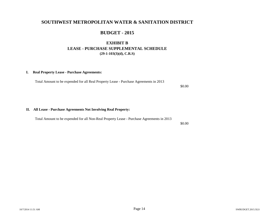#### **BUDGET - 2015**

#### **EXHIBIT B LEASE - PURCHASE SUPPLEMENTAL SCHEDULE (29-1-103(3)(d), C.R.S)**

#### **I. Real Property Lease - Purchase Agreements:**

Total Amount to be expended for all Real Property Lease - Purchase Agreements in 2013

\$0.00

#### **II. All Lease - Purchase Agreements Not Involving Real Property:**

Total Amount to be expended for all Non-Real Property Lease - Purchase Agreements in 2013

\$0.00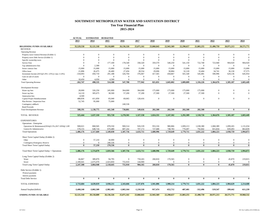#### **SOUTHWEST METROPOLITAN WATER AND SANITATION DISTRICT Ten Year Financial Plan**

**2015-2024**

|                                                    | <b>ACTUAL</b> | <b>ESTIMATED</b> | <b>BUDGETED</b> |                  |              |                |              |                |                  |              |              |                |
|----------------------------------------------------|---------------|------------------|-----------------|------------------|--------------|----------------|--------------|----------------|------------------|--------------|--------------|----------------|
|                                                    | 2013          | 2014             | 2015            | 2016             | 2017         | 2018           | 2019         | 2020           | 2021             | 2022         | 2023         | 2024           |
| <b>BEGINNING FUNDS AVAILABLE</b>                   | 35,529,558    | 32,121,318       | 29,118,809      | 26,136,326       | 25,071,161   | 23,860,843     | 22,943,369   | 22,290,657     | 21,803,255       | 21,490,759   | 20,971,213   | 20,571,771     |
| <b>REVENUE</b>                                     |               |                  |                 |                  |              |                |              |                |                  |              |              |                |
| <b>Operating Revenue</b>                           |               |                  |                 |                  |              |                |              |                |                  |              |              |                |
| Property taxes General Revenue (Exhibit 1)         | $\mathbf{0}$  | $\mathbf{0}$     | $\mathbf{0}$    | $\mathbf{0}$     | $\mathbf{0}$ | $\overline{0}$ | $\mathbf{0}$ | $\mathbf{0}$   | $\mathbf{0}$     | $\mathbf{0}$ | $\mathbf{0}$ | $\Omega$       |
| Property taxes Debt Service (Exhibit 1)            | $\Omega$      | $\mathbf{0}$     | $\Omega$        | $\overline{0}$   | $\theta$     | $\Omega$       | $\mathbf{0}$ | $\mathbf{0}$   | $\mathbf{0}$     | $\mathbf{0}$ | $\mathbf{0}$ | $\Omega$       |
| Specific ownership taxes                           | $\Omega$      | $\mathbf{0}$     | $\Omega$        | $\overline{0}$   | $\mathbf{0}$ | $\Omega$       | $\mathbf{0}$ | $\mathbf{0}$   | $\overline{0}$   | $\mathbf{0}$ | $\mathbf{0}$ | $\Omega$       |
| <b>Service Fees</b>                                | $\Omega$      | $\Omega$         | 177,100         | 178,540          | 358,320      | 359,570        | 540,250      | 541,150        | 722,740          | 723,940      | 904,920      | 904,920        |
| Tap administrative fees                            | $\Omega$      | 2,300            | $\Omega$        | $\overline{0}$   | $\Omega$     | $\Omega$       | $\Omega$     | $\overline{0}$ | $\overline{0}$   | $\mathbf{0}$ | $\mathbf{0}$ | $\Omega$       |
| Sewer contract fees                                | 15,000        | 15,000           | 15,000          | 15,000           | 15,000       | 15,000         | 15,000       | 15,000         | 15,000           | 15,000       | 15,000       | 15,000         |
| Office lease                                       | 21,896        | 26,475           | 26,400          | 27,456           | 28,554       | 29,696         | 30,884       | 32,120         | 33,404           | 34,741       | 36,130       | 37,575         |
| Investment Income (2015@1.0%+.25%/yr max 3.14%)    | $-318,093$    | 450,710          | 291,188         | 326,704          | 376,067      | 417,565        | 458,867      | 501,540        | 545,081          | 590,996      | 629,136      | 645,954        |
| Gain on sale of assets                             | $\Omega$      | $\mathbf{0}$     | $\mathbf{0}$    | $\mathbf{0}$     | $\mathbf{0}$ | $\mathbf{0}$   | $\mathbf{0}$ | $\overline{0}$ | $\boldsymbol{0}$ | $\mathbf{0}$ | $\mathbf{0}$ | $\theta$       |
| Other                                              | 18,450        | 4,050            | 4,500           | $\mathbf{0}$     | $\Omega$     | $\mathbf{0}$   | $\mathbf{0}$ | $\mathbf{0}$   | $\overline{0}$   | $\mathbf{0}$ | $\mathbf{0}$ | $\theta$       |
| <b>Total Operating Revenue</b>                     | $-262,747$    | 498,535          | 514,188         | 547,700          | 777,942      | 821,831        | 1,045,002    | 1,089,809      | 1,316,226        | 1,364,676    | 1,585,187    | 1,603,449      |
| Development Revenue                                |               |                  |                 |                  |              |                |              |                |                  |              |              |                |
| Water tap fees                                     | 28,000        | 326,250          | 245,000         | 364,000          | 364,000      | 175,000        | 175,000      | 175,000        | 175,000          | $\mathbf{0}$ | $\mathbf{0}$ | $\Omega$       |
| Sewer tap fees                                     | 14,110        | 305,675          | 38,500          | 57,200           | 57,200       | 27,500         | 27,500       | 27,500         | 27,500           | $\mathbf{0}$ | $\mathbf{0}$ | $\Omega$       |
| Annexation fees                                    | 4,500         |                  |                 |                  |              |                |              |                |                  |              |              |                |
| Capital Project Reimbursement                      | 488,836       | 411,850          | 83,040          | 69,065           | 128,416      | $\mathbf{0}$   | $\mathbf{0}$ | $\overline{0}$ | $\mathbf{0}$     | $\mathbf{0}$ | $\mathbf{0}$ | $\Omega$       |
| Plan Review / Inspection Fees                      | 52,745        | 95,000           | 75,000          |                  |              |                |              |                |                  |              |              |                |
| Contingency addback                                |               |                  |                 | 240,536          |              |                |              |                |                  |              |              |                |
| <b>Bond Proceeds</b>                               |               |                  |                 |                  |              |                |              |                |                  |              |              |                |
|                                                    | 588.191       | 1,138,775        | 441.540         | 730,801          | 549,616      | 202,500        | 202,500      | 202,500        | 202,500          | $\bf{0}$     | $\bf{0}$     | $\bf{0}$       |
| <b>Total Developement Revenue</b>                  |               |                  |                 |                  |              |                |              |                |                  |              |              |                |
| <b>TOTAL REVENUE</b>                               | 325,444       | 1,637,310        | 955,728         | 1,278,501        | 1,327,558    | 1,024,331      | 1,247,502    | 1.292.309      | 1,518,726        | 1,364,676    | 1,585,187    | 1,603,449      |
| <b>EXPENDITURES</b>                                |               |                  |                 |                  |              |                |              |                |                  |              |              |                |
| Operations - Enterprise                            |               |                  |                 |                  |              |                |              |                |                  |              |              |                |
| Operations & Maintenance(2016@2.5%,2017-2050@2.89) | 908,021       | 868,945          | 878,550         | 900,514          | 926,539      | 953,316        | 980,866      | 1,009,213      | 1,038,380        | 1,068,389    | 1,099,265    | 1,131,034      |
| General & Administrative                           | 578,155       | 648,724          | 670,480         | 687,242          | 707,172      | 727,680        | 748,783      | 770,497        | 792,842          | 815,834      | 839,493      | 863,839        |
| <b>Total Operations</b>                            | 1,486,176     | 1,517,669        | 1,549,030       | 1,587,756        | 1,633,711    | 1,680,996      | 1,729,649    | 1,779,711      | 1,831,222        | 1,884,223    | 1,938,759    | 1,994,873      |
| Short Term Capital Outlay (Exhibit 2)              |               |                  |                 |                  |              |                |              |                |                  |              |              |                |
| Other                                              | $\mathbf{0}$  | 57,210           | 30,000          | $\overline{0}$   | $\Omega$     | $\mathbf{0}$   | $\mathbf{0}$ | $\mathbf{0}$   | $\mathbf{0}$     | $\mathbf{0}$ | $\mathbf{0}$ | $\theta$       |
| Contingency/Emergency Reserve                      | $\bf{0}$      | $\Omega$         | 240,536         | $\overline{0}$   | $\mathbf{0}$ | $\mathbf{0}$   | $\mathbf{0}$ | $\mathbf{0}$   | $\overline{0}$   | $\bf{0}$     | $\mathbf{0}$ | $\theta$       |
| <b>Total Short Term Capital Outlay</b>             | $\bf{0}$      | 57,210           | 270,536         | $\bf{0}$         | $\mathbf{0}$ | 0              | $\theta$     | $\bf{0}$       | $\bf{0}$         | $\bf{0}$     | $\mathbf{0}$ | $\bf{0}$       |
| Total Short Term Capital Outlay + Operations       | 1,486,176     | 1,574,879        | 1,819,566       | 1,587,756        | 1,633,711    | 1,680,996      | 1,729,649    | 1,779,711      | 1.831.222        | 1.884.223    | 1,938,759    | 1,994,873      |
| Long Term Capital Outlay (Exhibit 2)               |               |                  |                 |                  |              |                |              |                |                  |              |              |                |
| Water                                              | 66,867        | 389,870          | 94,795          | $\boldsymbol{0}$ | 759,265      | 260,810        | 170,565      | $\bf{0}$       | $\boldsymbol{0}$ | $\bf{0}$     | 45,870       | 219,815        |
| Sewer                                              | 2,180,641     | 2,675,070        | 2,023,850       | 755,910          | 144,900      | $\mathbf{0}$   | $\mathbf{0}$ | $\mathbf{0}$   | $\mathbf{0}$     | $\mathbf{0}$ | $\mathbf{0}$ | $\overline{0}$ |
| Total Long Term Capital Outlay                     | 2,247,508     | 3,064,940        | 2,118,645       | 755,910          | 904,165      | 260,810        | 170,565      | $\bf{0}$       | $\bf{0}$         | $\bf{0}$     | 45,870       | 219,815        |
| Debt Service (Exhibit 1)                           |               |                  |                 |                  |              |                |              |                |                  |              |              |                |
| Prinical payments                                  |               |                  |                 |                  |              |                |              |                |                  |              |              |                |
| Interest payments                                  |               |                  |                 |                  |              |                |              |                |                  |              |              |                |
| <b>Total Debt Service</b>                          | $\bf{0}$      | $\mathbf{0}$     | $\bf{0}$        | $\bf{0}$         | $\bf{0}$     | $\bf{0}$       | $\mathbf{0}$ | $\bf{0}$       | $\bf{0}$         | $\bf{0}$     | $\bf{0}$     | $\theta$       |
| <b>TOTAL EXPENSES</b>                              | 3,733,684     | 4,639,819        | 3,938,211       | 2,343,666        | 2,537,876    | 1,941,806      | 1,900,214    | 1,779,711      | 1,831,222        | 1,884,223    | 1,984,629    | 2,214,688      |
| Annual Surplus/(deficit)                           | $-3,408,240$  | $-3,002,509$     | $-2,982,483$    | $-1,065,164$     | $-1,210,318$ | $-917,474$     | $-652,712$   | $-487,401$     | $-312,496$       | $-519,547$   | -399,442     | $-611,239$     |
|                                                    |               |                  |                 |                  |              |                |              |                |                  |              |              |                |
| <b>ENDING FUNDS AVAILABLE</b>                      | 32,121,318    | 29.118.809       | 26,136,326      | 25,071,161       | 23,860,843   | 22.943.369     | 22,290,657   | 21,803,255     | 21.490.759       | 20,971,213   | 20,571,771   | 19.960.532     |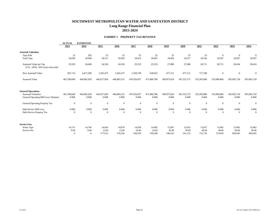#### **SOUTHWEST METROPOLITAN WATER AND SANITATION DISTRICT Long Range Financial Plan 2015-2024**

#### **EXHIBIT 1 PROPERTY TAX REVENUE**

|                                                                                               | <b>ACTUAL</b><br><b>ESTIMATED</b> |                      |                      |                      |                      |                      |                      |                      |                      |                      |                      |                      |
|-----------------------------------------------------------------------------------------------|-----------------------------------|----------------------|----------------------|----------------------|----------------------|----------------------|----------------------|----------------------|----------------------|----------------------|----------------------|----------------------|
|                                                                                               | 2013                              | 2014                 | 2015                 | 2016                 | 2017                 | 2018                 | 2019                 | 2020                 | 2021                 | 2022                 | 2023                 | 2024                 |
| <b>Assessed Valuation</b>                                                                     |                                   |                      |                      |                      |                      |                      |                      |                      |                      |                      |                      |                      |
| Taps Sold                                                                                     | 12                                | 263                  | 52                   | 52                   | 52                   | 25                   | 25                   | 25                   | 25                   | $\mathbf{0}$         | $\mathbf{0}$         | $\overline{0}$       |
| <b>Total Taps</b>                                                                             | 18,036                            | 18,048               | 18,311               | 18,363               | 18,415               | 18,467               | 18,492               | 18,517               | 18,542               | 18,567               | 18,567               | 18,567               |
| Assessed Value per Tap<br>$(5 % - 2016, +6%$ every even year)                                 | 25,593                            | 24,606               | 24,336               | 24,336               | 25,553               | 25,553               | 27,086               | 27,086               | 28,711               | 28,711               | 30,434               | 30,434               |
| New Assessed Value                                                                            | 307,113                           | 6,471,269            | 1,265,475            | 1,265,475            | 1,328,749            | 638,822              | 677,151              | 677,151              | 717,780              | $\boldsymbol{0}$     | $\boldsymbol{0}$     | $\mathbf{0}$         |
| Assessed Value                                                                                | 461,590,640                       | 444,081,620          | 445,617,656          | 446,883,131          | 470,556,037          | 471,884,786          | 500,875,024          | 501,552,175          | 532,363,086          | 533,080,866          | 565,065,718          | 565,065,718          |
| <b>General Operations</b><br><b>Assessed Valuation</b><br>General Operating Mill Levy+Abateme | 461,590,640<br>0.000              | 444,081,620<br>0.000 | 445,617,656<br>0.000 | 446,883,131<br>0.000 | 470,556,037<br>0.000 | 471,884,786<br>0.000 | 500,875,024<br>0.000 | 501,552,175<br>0.000 | 532,363,086<br>0.000 | 533,080,866<br>0.000 | 565,065,718<br>0.000 | 565,065,718<br>0.000 |
| General Operating Property Tax                                                                | $\boldsymbol{0}$                  | $\mathbf{0}$         | $\overline{0}$       | $\mathbf{0}$         | $\mathbf{0}$         | $\mathbf{0}$         | $\mathbf{0}$         | $\mathbf{0}$         | $\overline{0}$       | $\mathbf{0}$         | $\mathbf{0}$         | $\mathbf{0}$         |
| Debt Service Mill Levy                                                                        | 0.000                             | 0.000                | 0.000                | 0.000                | 0.000                | 0.000                | 0.000                | 0.000                | 0.000                | 0.000                | 0.000                | 0.000                |
| Debt Service Property Tax                                                                     | $\Omega$                          | $\overline{0}$       | $\overline{0}$       | $\mathbf{0}$         | $\overline{0}$       | $\mathbf{0}$         | $\mathbf{0}$         | $\overline{0}$       | $\overline{0}$       | $\mathbf{0}$         | $\mathbf{0}$         | $\mathbf{0}$         |
| <b>Service Fees</b>                                                                           |                                   |                      |                      |                      |                      |                      |                      |                      |                      |                      |                      |                      |
| Water Taps                                                                                    | 14,731                            | 14,746               | 14,826               | 14,878               | 14,930               | 14,982               | 15,007               | 15,032               | 15,057               | 15,082               | 15,082               | 15,082               |
| Service Fee                                                                                   | 0.00                              | 0.00                 | 12.00                | 12.00                | 24.00                | 24.00                | 36.00                | 36.00                | 48.00                | 48.00                | 60.00                | 60.00                |
|                                                                                               | $\Omega$                          | $\overline{0}$       | 177,912              | 178,536              | 358,320              | 359,568              | 540,252              | 541,152              | 722,736              | 723,936              | 904,920              | 904,920              |